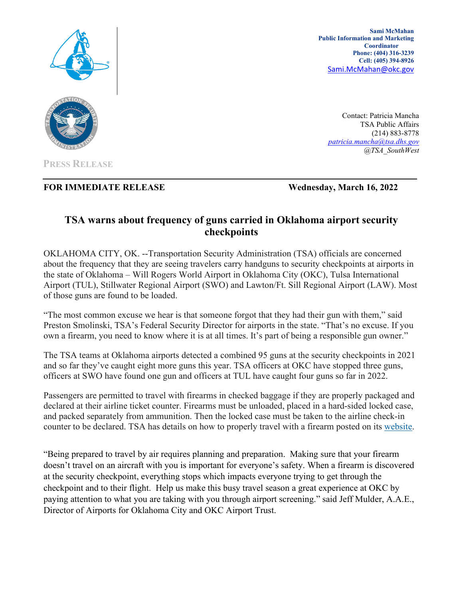

**Sami McMahan Public Information and Marketing Coordinator Phone: (404) 316-3239 Cell: (405) 394-8926** [Sami.McMahan@okc.gov](mailto:Sami.McMahan@okc.gov)

Contact: Patricia Mancha TSA Public Affairs (214) 883-8778 *[patricia.mancha@tsa.dhs.gov](mailto:patricia.mancha@tsa.dhs.gov) @TSA\_SouthWest* 



## **FOR IMMEDIATE RELEASE Wednesday, March 16, 2022**

## **TSA warns about frequency of guns carried in Oklahoma airport security checkpoints**

OKLAHOMA CITY, OK. --Transportation Security Administration (TSA) officials are concerned about the frequency that they are seeing travelers carry handguns to security checkpoints at airports in the state of Oklahoma – Will Rogers World Airport in Oklahoma City (OKC), Tulsa International Airport (TUL), Stillwater Regional Airport (SWO) and Lawton/Ft. Sill Regional Airport (LAW). Most of those guns are found to be loaded.

"The most common excuse we hear is that someone forgot that they had their gun with them," said Preston Smolinski, TSA's Federal Security Director for airports in the state. "That's no excuse. If you own a firearm, you need to know where it is at all times. It's part of being a responsible gun owner."

The TSA teams at Oklahoma airports detected a combined 95 guns at the security checkpoints in 2021 and so far they've caught eight more guns this year. TSA officers at OKC have stopped three guns, officers at SWO have found one gun and officers at TUL have caught four guns so far in 2022.

Passengers are permitted to travel with firearms in checked baggage if they are properly packaged and declared at their airline ticket counter. Firearms must be unloaded, placed in a hard-sided locked case, and packed separately from ammunition. Then the locked case must be taken to the airline check-in counter to be declared. TSA has details on how to properly travel with a firearm posted on its [website.](https://www.tsa.gov/traveler-information/firearms-and-ammunition)

"Being prepared to travel by air requires planning and preparation. Making sure that your firearm doesn't travel on an aircraft with you is important for everyone's safety. When a firearm is discovered at the security checkpoint, everything stops which impacts everyone trying to get through the checkpoint and to their flight. Help us make this busy travel season a great experience at OKC by paying attention to what you are taking with you through airport screening." said Jeff Mulder, A.A.E., Director of Airports for Oklahoma City and OKC Airport Trust.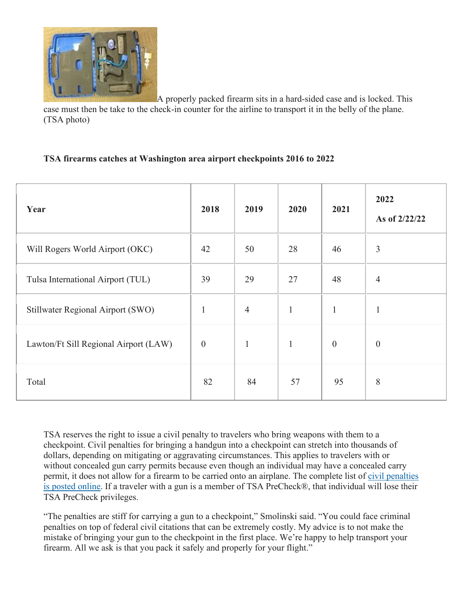

A properly packed firearm sits in a hard-sided case and is locked. This case must then be take to the check-in counter for the airline to transport it in the belly of the plane. (TSA photo)

## **TSA firearms catches at Washington area airport checkpoints 2016 to 2022**

| Year                                  | 2018             | 2019           | 2020         | 2021             | 2022<br>As of 2/22/22 |
|---------------------------------------|------------------|----------------|--------------|------------------|-----------------------|
| Will Rogers World Airport (OKC)       | 42               | 50             | 28           | 46               | $\overline{3}$        |
| Tulsa International Airport (TUL)     | 39               | 29             | 27           | 48               | $\overline{4}$        |
| Stillwater Regional Airport (SWO)     | $\mathbf{1}$     | $\overline{4}$ | $\mathbf{1}$ | $\mathbf{1}$     | $\mathbf{1}$          |
| Lawton/Ft Sill Regional Airport (LAW) | $\boldsymbol{0}$ | $\mathbf{1}$   | $\mathbf{1}$ | $\boldsymbol{0}$ | $\theta$              |
| Total                                 | 82               | 84             | 57           | 95               | 8                     |

TSA reserves the right to issue a civil penalty to travelers who bring weapons with them to a checkpoint. Civil penalties for bringing a handgun into a checkpoint can stretch into thousands of dollars, depending on mitigating or aggravating circumstances. This applies to travelers with or without concealed gun carry permits because even though an individual may have a concealed carry permit, it does not allow for a firearm to be carried onto an airplane. The complete list of [civil penalties](https://www.tsa.gov/travel/civil-enforcement)  [is posted online.](https://www.tsa.gov/travel/civil-enforcement) If a traveler with a gun is a member of TSA PreCheck®, that individual will lose their TSA PreCheck privileges.

"The penalties are stiff for carrying a gun to a checkpoint," Smolinski said. "You could face criminal penalties on top of federal civil citations that can be extremely costly. My advice is to not make the mistake of bringing your gun to the checkpoint in the first place. We're happy to help transport your firearm. All we ask is that you pack it safely and properly for your flight."